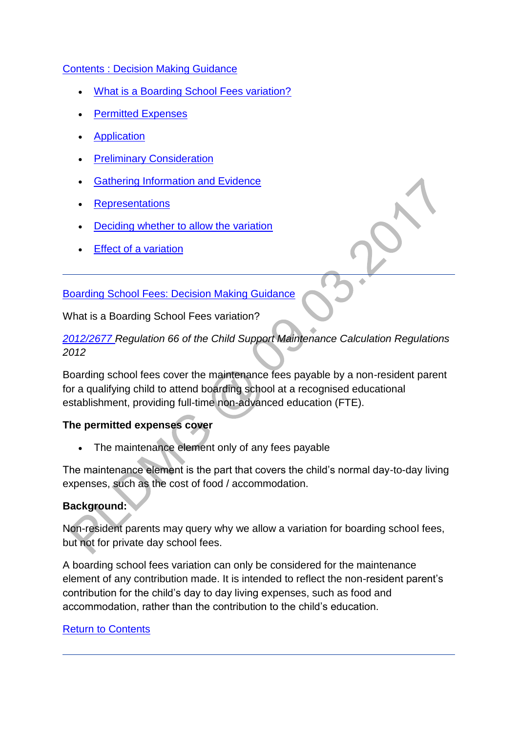### [Contents : Decision Making Guidance](http://np-cmg-sharepoint.link2.gpn.gov.uk/sites/policy-law-and-decision-making-guidance/Pages/Variations/Special%20Expenses/)

- [What is a Boarding School Fees variation?](http://np-cmg-sharepoint.link2.gpn.gov.uk/sites/policy-law-and-decision-making-guidance/Pages/Variations/Special%20Expenses/Boarding-School-Fees.aspx#boardingschoolfees)
- [Permitted Expenses](http://np-cmg-sharepoint.link2.gpn.gov.uk/sites/policy-law-and-decision-making-guidance/Pages/Variations/Special%20Expenses/Boarding-School-Fees.aspx#WebPartTitleWPQ2)
- **[Application](http://np-cmg-sharepoint.link2.gpn.gov.uk/sites/policy-law-and-decision-making-guidance/Pages/Variations/Special%20Expenses/Boarding-School-Fees.aspx#BSFApplication)**
- Preliminary [Consideration](http://np-cmg-sharepoint.link2.gpn.gov.uk/sites/policy-law-and-decision-making-guidance/Pages/Variations/Special%20Expenses/Boarding-School-Fees.aspx#BSFPreliminaryConsideration)
- [Gathering Information and Evidence](http://np-cmg-sharepoint.link2.gpn.gov.uk/sites/policy-law-and-decision-making-guidance/Pages/Variations/Special%20Expenses/Boarding-School-Fees.aspx#BSFEvidence)
- **[Representations](http://np-cmg-sharepoint.link2.gpn.gov.uk/sites/policy-law-and-decision-making-guidance/Pages/Variations/Special%20Expenses/Boarding-School-Fees.aspx#BSFRepresentations)**
- [Deciding whether to allow the variation](http://np-cmg-sharepoint.link2.gpn.gov.uk/sites/policy-law-and-decision-making-guidance/Pages/Variations/Special%20Expenses/Boarding-School-Fees.aspx#BSFAllow)
- [Effect of a variation](http://np-cmg-sharepoint.link2.gpn.gov.uk/sites/policy-law-and-decision-making-guidance/Pages/Variations/Special%20Expenses/Boarding-School-Fees.aspx#BSFEffect)

# [Boarding School Fees: Decision Making Guidance](http://np-cmg-sharepoint.link2.gpn.gov.uk/sites/policy-law-and-decision-making-guidance/Pages/Variations/Special%20Expenses/Boarding-School-Fees.aspx)

What is a Boarding School Fees variation?

## *[2012/2677 R](http://www.legislation.gov.uk/uksi/2012/2677)egulation 66 of the Child Support Maintenance Calculation Regulations 2012*

Boarding school fees cover the maintenance fees payable by a non-resident parent for a qualifying child to attend boarding school at a recognised educational establishment, providing full-time non-advanced education (FTE).

### **The permitted expenses cover**

The maintenance element only of any fees payable

The maintenance element is the part that covers the child's normal day-to-day living expenses, such as the cost of food / accommodation.

### **Background:**

Non-resident parents may query why we allow a variation for boarding school fees, but not for private day school fees.

A boarding school fees variation can only be considered for the maintenance element of any contribution made. It is intended to reflect the non-resident parent's contribution for the child's day to day living expenses, such as food and accommodation, rather than the contribution to the child's education.

# [Return to Contents](http://np-cmg-sharepoint.link2.gpn.gov.uk/sites/policy-law-and-decision-making-guidance/Pages/Variations/Special%20Expenses/Boarding-School-Fees.aspx#DMGcontents)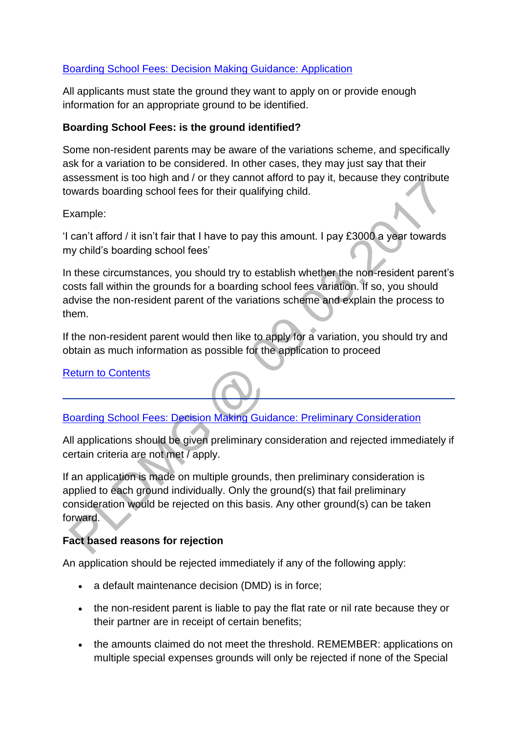# [Boarding School Fees: Decision Making Guidance: Application](http://np-cmg-sharepoint.link2.gpn.gov.uk/sites/policy-law-and-decision-making-guidance/Pages/Variations/Special%20Expenses/Boarding-School-Fees.aspx)

All applicants must state the ground they want to apply on or provide enough information for an appropriate ground to be identified.

#### **Boarding School Fees: is the ground identified?**

Some non-resident parents may be aware of the variations scheme, and specifically ask for a variation to be considered. In other cases, they may just say that their assessment is too high and / or they cannot afford to pay it, because they contribute towards boarding school fees for their qualifying child.

#### Example:

'I can't afford / it isn't fair that I have to pay this amount. I pay £3000 a year towards my child's boarding school fees'

In these circumstances, you should try to establish whether the non-resident parent's costs fall within the grounds for a boarding school fees variation. If so, you should advise the non-resident parent of the variations scheme and explain the process to them.

If the non-resident parent would then like to apply for a variation, you should try and obtain as much information as possible for the application to proceed

### [Return to Contents](http://np-cmg-sharepoint.link2.gpn.gov.uk/sites/policy-law-and-decision-making-guidance/Pages/Variations/Special%20Expenses/Boarding-School-Fees.aspx#Contents%20%3a%20Decision%20Making%20Guidance)

### [Boarding School Fees: Decision Making Guidance: Preliminary Consideration](http://np-cmg-sharepoint.link2.gpn.gov.uk/sites/policy-law-and-decision-making-guidance/Pages/Variations/Special%20Expenses/Boarding-School-Fees.aspx)

All applications should be given preliminary consideration and rejected immediately if certain criteria are not met / apply.

If an application is made on multiple grounds, then preliminary consideration is applied to each ground individually. Only the ground(s) that fail preliminary consideration would be rejected on this basis. Any other ground(s) can be taken forward.

### **Fact based reasons for rejection**

An application should be rejected immediately if any of the following apply:

- a default maintenance decision (DMD) is in force;
- the non-resident parent is liable to pay the flat rate or nil rate because they or their partner are in receipt of certain benefits;
- the amounts claimed do not meet the threshold. REMEMBER: applications on multiple special expenses grounds will only be rejected if none of the Special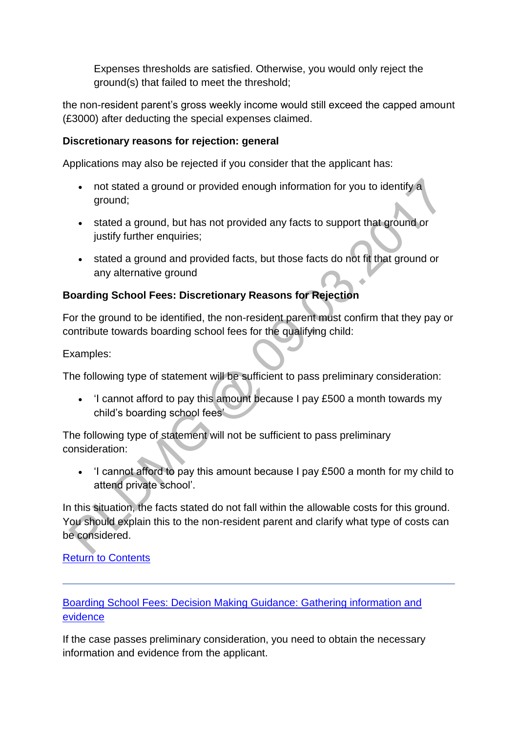Expenses thresholds are satisfied. Otherwise, you would only reject the ground(s) that failed to meet the threshold;

the non-resident parent's gross weekly income would still exceed the capped amount (£3000) after deducting the special expenses claimed.

### **Discretionary reasons for rejection: general**

Applications may also be rejected if you consider that the applicant has:

- not stated a ground or provided enough information for you to identify a ground;
- stated a ground, but has not provided any facts to support that ground or justify further enquiries;
- stated a ground and provided facts, but those facts do not fit that ground or any alternative ground

## **Boarding School Fees: Discretionary Reasons for Rejection**

For the ground to be identified, the non-resident parent must confirm that they pay or contribute towards boarding school fees for the qualifying child:

### Examples:

The following type of statement will be sufficient to pass preliminary consideration:

 'I cannot afford to pay this amount because I pay £500 a month towards my child's boarding school fees'

The following type of statement will not be sufficient to pass preliminary consideration:

 'I cannot afford to pay this amount because I pay £500 a month for my child to attend private school'.

In this situation, the facts stated do not fall within the allowable costs for this ground. You should explain this to the non-resident parent and clarify what type of costs can be considered.

# [Return to Contents](http://np-cmg-sharepoint.link2.gpn.gov.uk/sites/policy-law-and-decision-making-guidance/Pages/Variations/Special%20Expenses/Boarding-School-Fees.aspx#DMGcontents)

# [Boarding School Fees: Decision Making Guidance: Gathering information and](http://np-cmg-sharepoint.link2.gpn.gov.uk/sites/policy-law-and-decision-making-guidance/Pages/Variations/Special%20Expenses/Boarding-School-Fees.aspx)  [evidence](http://np-cmg-sharepoint.link2.gpn.gov.uk/sites/policy-law-and-decision-making-guidance/Pages/Variations/Special%20Expenses/Boarding-School-Fees.aspx)

If the case passes preliminary consideration, you need to obtain the necessary information and evidence from the applicant.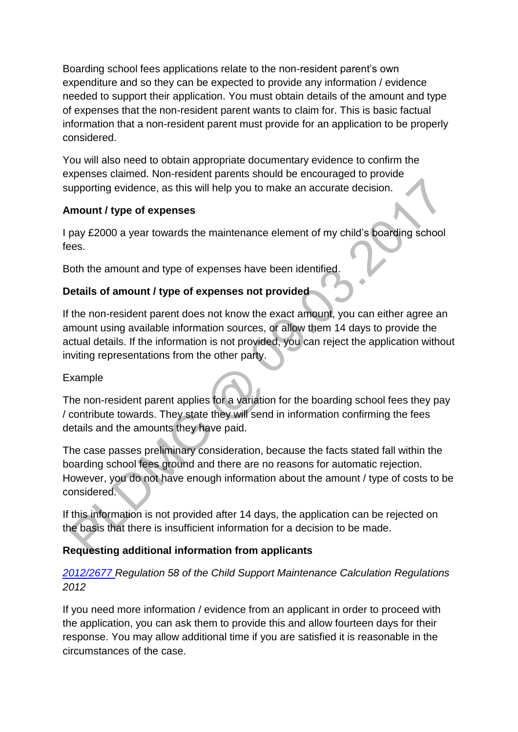Boarding school fees applications relate to the non-resident parent's own expenditure and so they can be expected to provide any information / evidence needed to support their application. You must obtain details of the amount and type of expenses that the non-resident parent wants to claim for. This is basic factual information that a non-resident parent must provide for an application to be properly considered.

You will also need to obtain appropriate documentary evidence to confirm the expenses claimed. Non-resident parents should be encouraged to provide supporting evidence, as this will help you to make an accurate decision.

# **Amount / type of expenses**

I pay £2000 a year towards the maintenance element of my child's boarding school fees.

Both the amount and type of expenses have been identified.

# **Details of amount / type of expenses not provided**

If the non-resident parent does not know the exact amount, you can either agree an amount using available information sources, or allow them 14 days to provide the actual details. If the information is not provided, you can reject the application without inviting representations from the other party.

# Example

The non-resident parent applies for a variation for the boarding school fees they pay / contribute towards. They state they will send in information confirming the fees details and the amounts they have paid.

The case passes preliminary consideration, because the facts stated fall within the boarding school fees ground and there are no reasons for automatic rejection. However, you do not have enough information about the amount / type of costs to be considered.

If this information is not provided after 14 days, the application can be rejected on the basis that there is insufficient information for a decision to be made.

# **Requesting additional information from applicants**

# *[2012/2677 R](http://www.legislation.gov.uk/uksi/2012/2677)egulation 58 of the Child Support Maintenance Calculation Regulations 2012*

If you need more information / evidence from an applicant in order to proceed with the application, you can ask them to provide this and allow fourteen days for their response. You may allow additional time if you are satisfied it is reasonable in the circumstances of the case.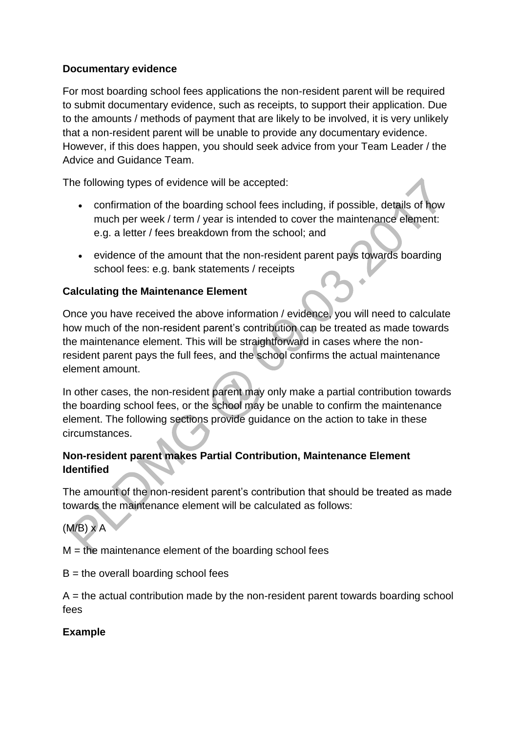### **Documentary evidence**

For most boarding school fees applications the non-resident parent will be required to submit documentary evidence, such as receipts, to support their application. Due to the amounts / methods of payment that are likely to be involved, it is very unlikely that a non-resident parent will be unable to provide any documentary evidence. However, if this does happen, you should seek advice from your Team Leader / the Advice and Guidance Team.

The following types of evidence will be accepted:

- confirmation of the boarding school fees including, if possible, details of how much per week / term / year is intended to cover the maintenance element: e.g. a letter / fees breakdown from the school; and
- evidence of the amount that the non-resident parent pays towards boarding school fees: e.g. bank statements / receipts

# **Calculating the Maintenance Element**

Once you have received the above information / evidence, you will need to calculate how much of the non-resident parent's contribution can be treated as made towards the maintenance element. This will be straightforward in cases where the nonresident parent pays the full fees, and the school confirms the actual maintenance element amount.

In other cases, the non-resident parent may only make a partial contribution towards the boarding school fees, or the school may be unable to confirm the maintenance element. The following sections provide guidance on the action to take in these circumstances.

# **Non-resident parent makes Partial Contribution, Maintenance Element Identified**

The amount of the non-resident parent's contribution that should be treated as made towards the maintenance element will be calculated as follows:

# $(M/B) \times A$

 $M =$  the maintenance element of the boarding school fees

 $B =$  the overall boarding school fees

 $A =$  the actual contribution made by the non-resident parent towards boarding school fees

# **Example**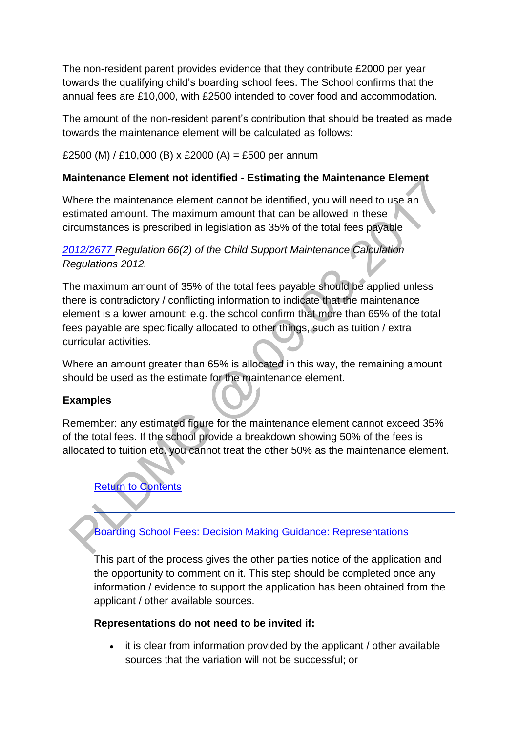The non-resident parent provides evidence that they contribute £2000 per year towards the qualifying child's boarding school fees. The School confirms that the annual fees are £10,000, with £2500 intended to cover food and accommodation.

The amount of the non-resident parent's contribution that should be treated as made towards the maintenance element will be calculated as follows:

#### £2500 (M) / £10,000 (B) x £2000 (A) = £500 per annum

#### **Maintenance Element not identified - Estimating the Maintenance Element**

Where the maintenance element cannot be identified, you will need to use an estimated amount. The maximum amount that can be allowed in these circumstances is prescribed in legislation as 35% of the total fees payable

*[2012/2677 R](http://www.legislation.gov.uk/uksi/2012/2677)egulation 66(2) of the Child Support Maintenance Calculation Regulations 2012.*

The maximum amount of 35% of the total fees payable should be applied unless there is contradictory / conflicting information to indicate that the maintenance element is a lower amount: e.g. the school confirm that more than 65% of the total fees payable are specifically allocated to other things, such as tuition / extra curricular activities.

Where an amount greater than 65% is allocated in this way, the remaining amount should be used as the estimate for the maintenance element.

### **Examples**

Remember: any estimated figure for the maintenance element cannot exceed 35% of the total fees. If the school provide a breakdown showing 50% of the fees is allocated to tuition etc. you cannot treat the other 50% as the maintenance element.

### [Return to Contents](http://np-cmg-sharepoint.link2.gpn.gov.uk/sites/policy-law-and-decision-making-guidance/Pages/Variations/Special%20Expenses/Boarding-School-Fees.aspx#Contents%20%3a%20Decision%20Making%20Guidance)

[Boarding School Fees: Decision Making Guidance: Representations](http://np-cmg-sharepoint.link2.gpn.gov.uk/sites/policy-law-and-decision-making-guidance/Pages/Variations/Special%20Expenses/Boarding-School-Fees.aspx)

This part of the process gives the other parties notice of the application and the opportunity to comment on it. This step should be completed once any information / evidence to support the application has been obtained from the applicant / other available sources.

#### **Representations do not need to be invited if:**

 it is clear from information provided by the applicant / other available sources that the variation will not be successful; or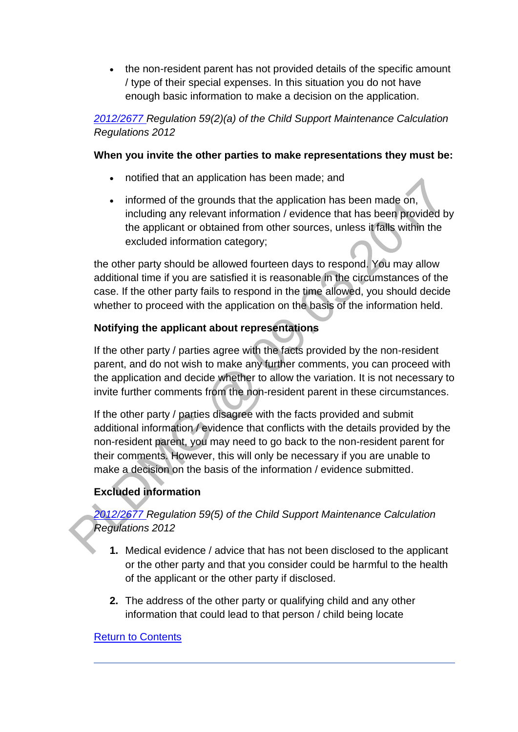• the non-resident parent has not provided details of the specific amount / type of their special expenses. In this situation you do not have enough basic information to make a decision on the application.

## *[2012/2677 R](http://www.legislation.gov.uk/uksi/2012/2677)egulation 59(2)(a) of the Child Support Maintenance Calculation Regulations 2012*

## **When you invite the other parties to make representations they must be:**

- notified that an application has been made; and
- informed of the grounds that the application has been made on, including any relevant information / evidence that has been provided by the applicant or obtained from other sources, unless it falls within the excluded information category;

the other party should be allowed fourteen days to respond. You may allow additional time if you are satisfied it is reasonable in the circumstances of the case. If the other party fails to respond in the time allowed, you should decide whether to proceed with the application on the basis of the information held.

# **Notifying the applicant about representations**

If the other party / parties agree with the facts provided by the non-resident parent, and do not wish to make any further comments, you can proceed with the application and decide whether to allow the variation. It is not necessary to invite further comments from the non-resident parent in these circumstances.

If the other party / parties disagree with the facts provided and submit additional information / evidence that conflicts with the details provided by the non-resident parent, you may need to go back to the non-resident parent for their comments. However, this will only be necessary if you are unable to make a decision on the basis of the information / evidence submitted.

# **Excluded information**

# *[2012/2677 R](http://www.legislation.gov.uk/uksi/2012/2677)egulation 59(5) of the Child Support Maintenance Calculation Regulations 2012*

- **1.** Medical evidence / advice that has not been disclosed to the applicant or the other party and that you consider could be harmful to the health of the applicant or the other party if disclosed.
- **2.** The address of the other party or qualifying child and any other information that could lead to that person / child being locate

### [Return to Contents](http://np-cmg-sharepoint.link2.gpn.gov.uk/sites/policy-law-and-decision-making-guidance/Pages/Variations/Special%20Expenses/Boarding-School-Fees.aspx#Contents%20%3a%20Decision%20Making%20Guidance)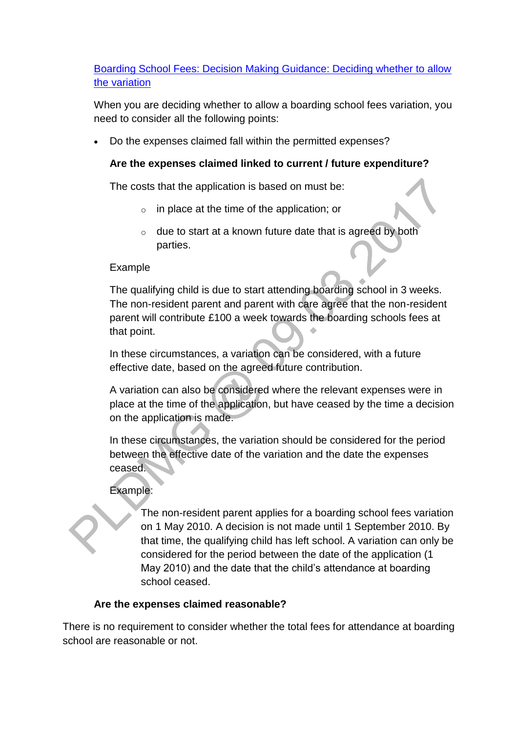# [Boarding School Fees: Decision Making Guidance: Deciding whether to allow](http://np-cmg-sharepoint.link2.gpn.gov.uk/sites/policy-law-and-decision-making-guidance/Pages/Variations/Special%20Expenses/Boarding-School-Fees.aspx)  [the variation](http://np-cmg-sharepoint.link2.gpn.gov.uk/sites/policy-law-and-decision-making-guidance/Pages/Variations/Special%20Expenses/Boarding-School-Fees.aspx)

When you are deciding whether to allow a boarding school fees variation, you need to consider all the following points:

Do the expenses claimed fall within the permitted expenses?

## **Are the expenses claimed linked to current / future expenditure?**

The costs that the application is based on must be:

- $\circ$  in place at the time of the application; or
- $\circ$  due to start at a known future date that is agreed by both parties.

### Example

The qualifying child is due to start attending boarding school in 3 weeks. The non-resident parent and parent with care agree that the non-resident parent will contribute £100 a week towards the boarding schools fees at that point.

In these circumstances, a variation can be considered, with a future effective date, based on the agreed future contribution.

A variation can also be considered where the relevant expenses were in place at the time of the application, but have ceased by the time a decision on the application is made.

In these circumstances, the variation should be considered for the period between the effective date of the variation and the date the expenses ceased.

### Example:

The non-resident parent applies for a boarding school fees variation on 1 May 2010. A decision is not made until 1 September 2010. By that time, the qualifying child has left school. A variation can only be considered for the period between the date of the application (1 May 2010) and the date that the child's attendance at boarding school ceased.

### **Are the expenses claimed reasonable?**

There is no requirement to consider whether the total fees for attendance at boarding school are reasonable or not.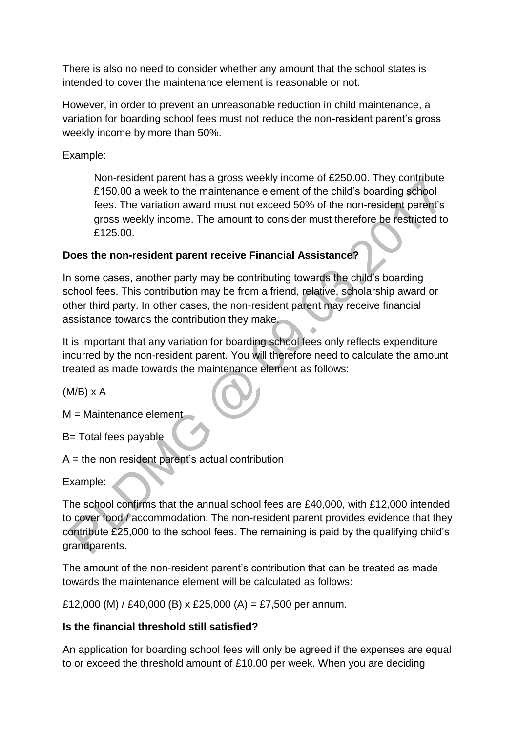There is also no need to consider whether any amount that the school states is intended to cover the maintenance element is reasonable or not.

However, in order to prevent an unreasonable reduction in child maintenance, a variation for boarding school fees must not reduce the non-resident parent's gross weekly income by more than 50%.

Example:

Non-resident parent has a gross weekly income of £250.00. They contribute £150.00 a week to the maintenance element of the child's boarding school fees. The variation award must not exceed 50% of the non-resident parent's gross weekly income. The amount to consider must therefore be restricted to £125.00.

## **Does the non-resident parent receive Financial Assistance?**

In some cases, another party may be contributing towards the child's boarding school fees. This contribution may be from a friend, relative, scholarship award or other third party. In other cases, the non-resident parent may receive financial assistance towards the contribution they make.

It is important that any variation for boarding school fees only reflects expenditure incurred by the non-resident parent. You will therefore need to calculate the amount treated as made towards the maintenance element as follows:

(M/B) x A

M = Maintenance element

B= Total fees payable

A = the non resident parent's actual contribution

Example:

The school confirms that the annual school fees are £40,000, with £12,000 intended to cover food / accommodation. The non-resident parent provides evidence that they contribute £25,000 to the school fees. The remaining is paid by the qualifying child's grandparents.

The amount of the non-resident parent's contribution that can be treated as made towards the maintenance element will be calculated as follows:

£12,000 (M) / £40,000 (B) x £25,000 (A) = £7,500 per annum.

### **Is the financial threshold still satisfied?**

An application for boarding school fees will only be agreed if the expenses are equal to or exceed the threshold amount of £10.00 per week. When you are deciding